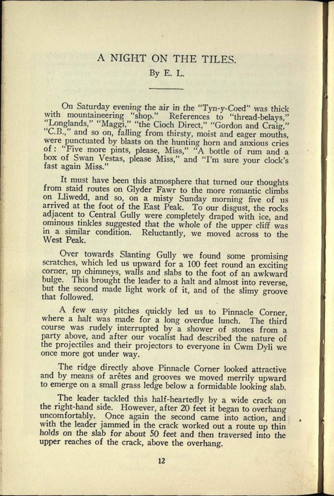## A NIGHT ON THE TILES.

## By E. L.

On Saturday evening the air in the "Tyn-y-Coed" was thick with mountaineering "shop." References to "thread-belays," "Longlands," "Maggi," "the Cioch Direct," "Gordon and Craig," "C.B.," and so on, falling from thirsty, moist and eager mouths, were punctuated by blasts on the hunting horn and anxious cries of : "Five more pints, please, Miss," "A bottle of rum and a box of Swan Vestas, please Miss," and "I'm sure your clock's fast again Miss."

It must have been this atmosphere that turned our thoughts from staid routes on Glyder Fawr to the more romantic climbs arrived at the foot of the East Peak. To our disgust, the rocks adjacent to Central Gully were completely draped with ice, and ominous tinkles suggested that the whole of the upper cliff was in a similar condition. Relucta

Over towards Slanting Gully we found some promising scratches, which led us upward for a 100 feet round an exciting corner, up chimneys, walls and slabs to the foot of an awkward bulge. This brought the leader to a halt and almost into reverse, but the second made light work of it, and of the slimy groove that followed.

<sup>A</sup>few easy pitches quickly led us to Pinnacle Corner, where a halt was made for a long overdue lunch. The third course was rudely interrupted by a shower of stones from a party above, and after our vocalist had described the nature of the projectiles and their projectors to everyone in Cwm Dyli we once more got under way.

The ridge directly above Pinnacle Corner looked attractive and by means of aretes and grooves we moved merrily upward to emerge on a small grass ledge below a formidable looking slab.

The leader tackled this half-heartedly by a wide crack on the right-hand side. However, after 20 feet it began to overhang uncomfortably. Once again the second came into action, and with the leader jammed in the crack worked out a route up thin holds on the slab for about 50 feet and then traversed into the upper reaches of the crack, above the overhang.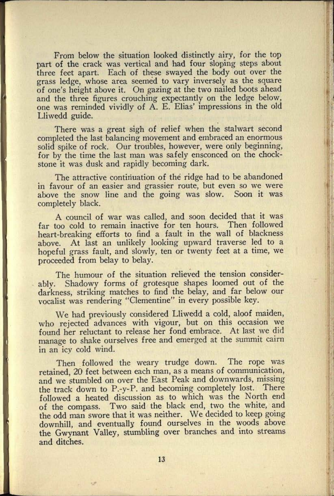From below the situation looked distinctly airy, for the top part of the crack was vertical and had four sloping steps about three feet apart. Each of these swayed the body out over the grass ledge, whose area seemed to vary inversely as the square of one's height above it. On gazing at the two nailed boots ahead and the three figures crouching expectantly on the ledge below, one was reminded vividly of A. E. Elias' impressions in the old Lliwedd guide.

There was a great sigh of relief when the stalwart second completed the last balancing movement and embraced an enormous solid spike of rock. Our troubles, however, were only beginning, for by the time the last man was safely ensconced on the chockstone it was dusk and rapidly becoming dark.

The attractive continuation of the ridge had to be abandoned in favour of an easier and grassier route, but even so we were above the snow line and the going was slow. Soon it was completely black.

A council of war was called, and soon decided that it was far too cold to remain inactive for ten hours. Then followed heart-breaking efforts to find a fault in the wall of blackness above. At last an unlikely looking upward traverse led to <sup>a</sup> hopeful grass fault, and slowly, ten or twenty feet at a time, we proceeded from belay to belay.

The humour of the situation relieved the tension considerably. Shadowy forms of grotesque shapes loomed out of the darkness, striking matches to find the belay, and far below our vocalist was rendering "Clementine" in every possible key.

We had previously considered Lliwedd a cold, aloof maiden, who rejected advances with vigour, but on this occasion we found her reluctant to release her fond embrace. At last we did manage to shake ourselves free and emerged at the summit cairn in an icy cold wind.

Then followed the weary trudge down. The rope was retained, 20 feet between each man, as a means of communication, and we stumbled on over the East Peak and downwards, missing the track down to P.-y-P. and becoming completely lost. There followed a heated discussion as to which was the North end of the compass. Two said the black end, two the white, and the odd man swore that it was neither. We decided to keep going downhill, and eventually found ourselves in the woods above the Gwynant Valley, stumbling over branches and into streams and ditches.